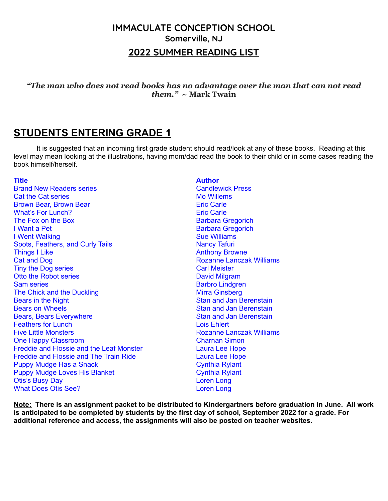#### **IMMACULATE CONCEPTION SCHOOL Somerville, NJ 2022 SUMMER READING LIST**

*"The man who does not read books has no advantage over the man that can not read them."* **~ Mark Twain**

#### **STUDENTS ENTERING GRADE 1**

It is suggested that an incoming first grade student should read/look at any of these books. Reading at this level may mean looking at the illustrations, having mom/dad read the book to their child or in some cases reading the book himself/herself.

Brand New Readers series Canadian Candlewick Press Cat the Cat series **Mo Willems** Mo Willems Brown Bear, Brown Bear Eric Carle What's For Lunch? Eric Carle The Fox on the Box Barbara Gregorich I Want a Pet **Barbara Gregorich I Went Walking Sue Williams** Sue Williams Spots, Feathers, and Curly Tails Nancy Tafuri Things I Like Anthony Browne **Cat and Dog Rozanne Lanczak Williams** Tiny the Dog series Carl Meister Otto the Robot series **David Milgram** Sam series **Barbro Lindgren** The Chick and the Duckling Mirra Ginsberg Mirra Ginsberg **Bears in the Night Stan and Jan Berenstain** Bears on Wheels<br>
Bears Bears Everywhere<br>
Bears Stan and Jan Berenstain<br>
Stan and Jan Berenstain Bears, Bears Everywhere Feathers for Lunch **Lois Ehlert** Five Little Monsters Rozanne Lanczak Williams One Happy Classroom Charnan Simon Freddie and Flossie and the Leaf Monster **Laura Lee Hope** Freddie and Flossie and The Train Ride Laura Lee Hope Puppy Mudge Has a Snack Cynthia Rylant Puppy Mudge Loves His Blanket Cynthia Rylant Otis's Busy Day Loren Long What Does Otis See? Loren Long

#### **Title Author**

Note: There is an assignment packet to be distributed to Kindergartners before graduation in June. All work is anticipated to be completed by students by the first day of school, September 2022 for a grade. For **additional reference and access, the assignments will also be posted on teacher websites.**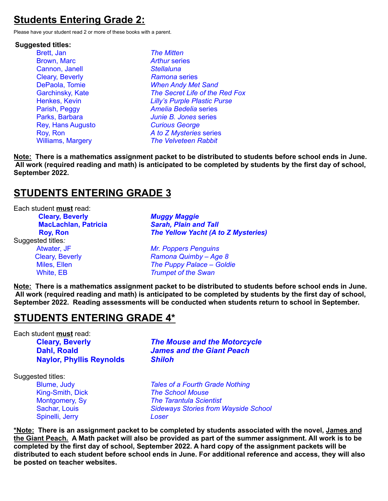# **Students Entering Grade 2:**

Please have your student read 2 or more of these books with a parent.

#### **Suggested titles:**

Brett, Jan *The Mitten* Brown, Marc *Arthur* series Cannon, Janell *Stellaluna* Cleary, Beverly *Ramona* series Rey, Hans Augusto *Curious George*

DePaola, Tomie *When Andy Met Sand* Garchinsky, Kate *The Secret Life of the Red Fox* Henkes, Kevin *Lilly's Purple Plastic Purse* Parish, Peggy *Amelia Bedelia* series Parks, Barbara *Junie B. Jones* series Roy, Ron *A to Z Mysteries* series Williams, Margery *The Velveteen Rabbit*

**Note: There is a mathematics assignment packet to be distributed to students before school ends in June.** All work (required reading and math) is anticipated to be completed by students by the first day of school, **September 2022.**

## **STUDENTS ENTERING GRADE 3**

Each student **must** read: **Cleary, Beverly** *Muggy Maggie* **MacLachlan, Patricia** *Sarah, Plain and Tall* **Roy, Ron** *The Yellow Yacht (A to Z Mysteries)* Suggested titles*:* Atwater, JF *Mr. Poppers Penguins* Cleary, Beverly *Ramona Quimby – Age 8* Miles, Ellen *The Puppy Palace – Goldie* White, EB *Trumpet of the Swan*

**Note: There is a mathematics assignment packet to be distributed to students before school ends in June.** All work (required reading and math) is anticipated to be completed by students by the first day of school, **September 2022. Reading assessments will be conducted when students return to school in September.**

#### **STUDENTS ENTERING GRADE 4\***

Each student **must** read:

**Naylor, Phyllis Reynolds** *Shiloh*

**Cleary, Beverly** *The Mouse and the Motorcycle* **Dahl, Roald** *James and the Giant Peach*

Suggested titles:

Spinelli, Jerry *Loser*

Blume, Judy *Tales of a Fourth Grade Nothing* King-Smith, Dick *The School Mouse* Montgomery, Sy *The Tarantula Scientist* Sachar, Louis *Sideways Stories from Wayside School*

**\*Note: There is an assignment packet to be completed by students associated with the novel, James and** the Giant Peach. A Math packet will also be provided as part of the summer assignment. All work is to be completed by the first day of school, September 2022. A hard copy of the assignment packets will be distributed to each student before school ends in June. For additional reference and access, they will also **be posted on teacher websites.**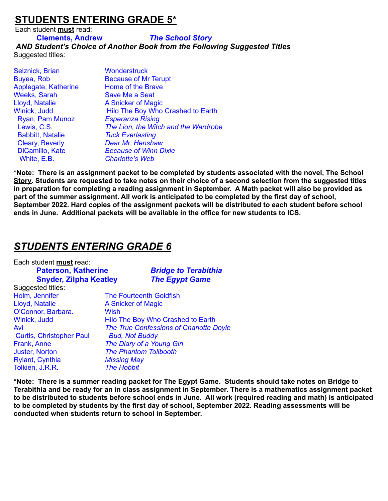## **STUDENTS ENTERING GRADE 5\***

Each student **must** read:

#### **Clements, Andrew** *The School Story*

*AND Student's Choice of Another Book from the Following Suggested Titles* Suggested titles:

| <b>Wonderstruck</b>                  |
|--------------------------------------|
| <b>Because of Mr Terupt</b>          |
| Home of the Brave                    |
| Save Me a Seat                       |
| A Snicker of Magic                   |
| Hilo The Boy Who Crashed to Earth    |
| <b>Esperanza Rising</b>              |
| The Lion, the Witch and the Wardrobe |
| <b>Tuck Everlasting</b>              |
| <b>Dear Mr. Henshaw</b>              |
| <b>Because of Winn Dixie</b>         |
| <b>Charlotte's Web</b>               |
|                                      |

**\*Note: There is an assignment packet to be completed by students associated with the novel, The School** Story. Students are requested to take notes on their choice of a second selection from the suggested titles **in preparation for completing a reading assignment in September. A Math packet will also be provided as part of the summer assignment. All work is anticipated to be completed by the first day of school, September 2022. Hard copies of the assignment packets will be distributed to each student before school ends in June. Additional packets will be available in the office for new students to ICS.**

## *STUDENTS ENTERING GRADE 6*

| Each student must read:         |                    |                                         |  |
|---------------------------------|--------------------|-----------------------------------------|--|
| <b>Paterson, Katherine</b>      |                    | <b>Bridge to Terabithia</b>             |  |
| <b>Snyder, Zilpha Keatley</b>   |                    | <b>The Egypt Game</b>                   |  |
| Suggested titles:               |                    |                                         |  |
| Holm, Jennifer                  |                    | <b>The Fourteenth Goldfish</b>          |  |
| Lloyd, Natalie                  |                    | A Snicker of Magic                      |  |
| O'Connor, Barbara.              | <b>Wish</b>        |                                         |  |
| Winick, Judd                    |                    | Hilo The Boy Who Crashed to Earth       |  |
| Avi                             |                    | The True Confessions of Charlotte Doyle |  |
| <b>Curtis, Christopher Paul</b> |                    | <b>Bud, Not Buddy</b>                   |  |
| Frank, Anne                     |                    | The Diary of a Young Girl               |  |
| <b>Juster, Norton</b>           |                    | <b>The Phantom Tollbooth</b>            |  |
| <b>Rylant, Cynthia</b>          | <b>Missing May</b> |                                         |  |
| Tolkien, J.R.R.                 | <b>The Hobbit</b>  |                                         |  |

\*Note: There is a summer reading packet for The Egypt Game. Students should take notes on Bridge to **Terabithia and be ready for an in class assignment in September. There is a mathematics assignment packet** to be distributed to students before school ends in June. All work (required reading and math) is anticipated **to be completed by students by the first day of school, September 2022. Reading assessments will be conducted when students return to school in September.**